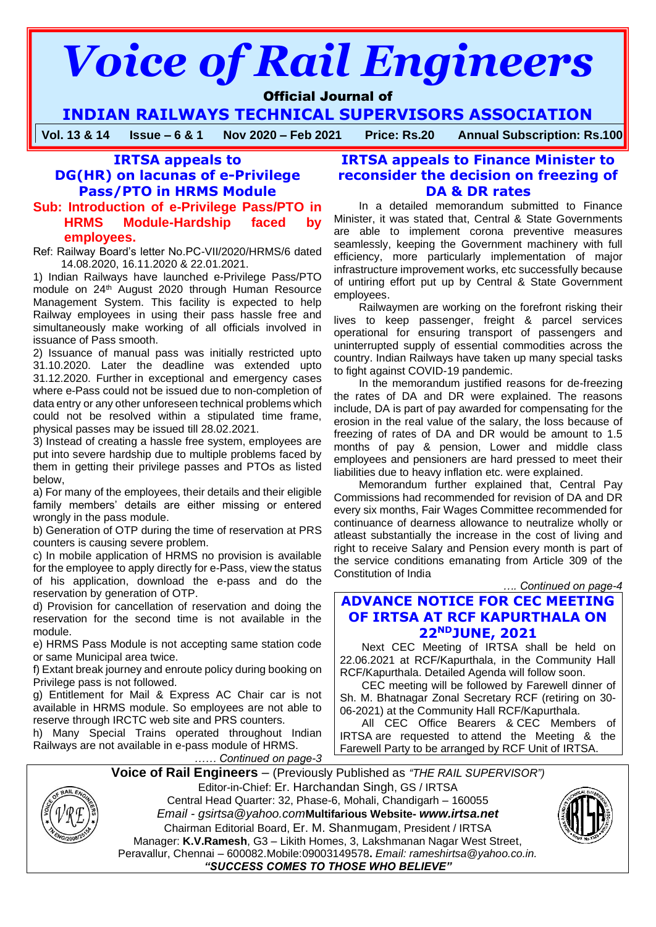# *Voice of Rail Engineers*

# Official Journal of

**INDIAN RAILWAYS TECHNICAL SUPERVISORS ASSOCIATION**

**Vol. 13 & 14 Issue – 6 & 1 Nov 2020 – Feb 2021 Price: Rs.20 Annual Subscription: Rs.100**

# **IRTSA appeals to**

# **DG(HR) on lacunas of e-Privilege Pass/PTO in HRMS Module**

#### **Sub: Introduction of e-Privilege Pass/PTO in HRMS Module-Hardship faced by employees.**

Ref: Railway Board's letter No.PC-VII/2020/HRMS/6 dated 14.08.2020, 16.11.2020 & 22.01.2021.

1) Indian Railways have launched e-Privilege Pass/PTO module on 24<sup>th</sup> August 2020 through Human Resource Management System. This facility is expected to help Railway employees in using their pass hassle free and simultaneously make working of all officials involved in issuance of Pass smooth.

2) Issuance of manual pass was initially restricted upto 31.10.2020. Later the deadline was extended upto 31.12.2020. Further in exceptional and emergency cases where e-Pass could not be issued due to non-completion of data entry or any other unforeseen technical problems which could not be resolved within a stipulated time frame, physical passes may be issued till 28.02.2021.

3) Instead of creating a hassle free system, employees are put into severe hardship due to multiple problems faced by them in getting their privilege passes and PTOs as listed below,

a) For many of the employees, their details and their eligible family members' details are either missing or entered wrongly in the pass module.

b) Generation of OTP during the time of reservation at PRS counters is causing severe problem.

c) In mobile application of HRMS no provision is available for the employee to apply directly for e-Pass, view the status of his application, download the e-pass and do the reservation by generation of OTP.

d) Provision for cancellation of reservation and doing the reservation for the second time is not available in the module.

e) HRMS Pass Module is not accepting same station code or same Municipal area twice.

f) Extant break journey and enroute policy during booking on Privilege pass is not followed.

g) Entitlement for Mail & Express AC Chair car is not available in HRMS module. So employees are not able to reserve through IRCTC web site and PRS counters.

h) Many Special Trains operated throughout Indian Railways are not available in e-pass module of HRMS.

*…… Continued on page-3*

# **IRTSA appeals to Finance Minister to reconsider the decision on freezing of DA & DR rates**

In a detailed memorandum submitted to Finance Minister, it was stated that, Central & State Governments are able to implement corona preventive measures seamlessly, keeping the Government machinery with full efficiency, more particularly implementation of major infrastructure improvement works, etc successfully because of untiring effort put up by Central & State Government employees.

Railwaymen are working on the forefront risking their lives to keep passenger, freight & parcel services operational for ensuring transport of passengers and uninterrupted supply of essential commodities across the country. Indian Railways have taken up many special tasks to fight against COVID-19 pandemic.

In the memorandum justified reasons for de-freezing the rates of DA and DR were explained. The reasons include, DA is part of pay awarded for compensating for the erosion in the real value of the salary, the loss because of freezing of rates of DA and DR would be amount to 1.5 months of pay & pension, Lower and middle class employees and pensioners are hard pressed to meet their liabilities due to heavy inflation etc. were explained.

Memorandum further explained that, Central Pay Commissions had recommended for revision of DA and DR every six months, Fair Wages Committee recommended for continuance of dearness allowance to neutralize wholly or atleast substantially the increase in the cost of living and right to receive Salary and Pension every month is part of the service conditions emanating from Article 309 of the Constitution of India

*…. Continued on page-4*

# **ADVANCE NOTICE FOR CEC MEETING OF IRTSA AT RCF KAPURTHALA ON 22NDJUNE, 2021**

Next CEC Meeting of IRTSA shall be held on 22.06.2021 at RCF/Kapurthala, in the Community Hall RCF/Kapurthala. Detailed Agenda will follow soon.

CEC meeting will be followed by Farewell dinner of Sh. M. Bhatnagar Zonal Secretary RCF (retiring on 30- 06-2021) at the Community Hall RCF/Kapurthala.

All CEC Office Bearers & CEC Members of IRTSA are requested to attend the Meeting & the Farewell Party to be arranged by RCF Unit of IRTSA.

**Voice of Rail Engineers** – (Previously Published as *"THE RAIL SUPERVISOR")*



Editor-in-Chief: Er. Harchandan Singh, GS / IRTSA Central Head Quarter: 32, Phase-6, Mohali, Chandigarh – 160055 *Email - gsirtsa@yahoo.com***Multifarious Website-** *[www.irtsa.net](http://www.irtsa.net/)* Chairman Editorial Board, Er. M. Shanmugam, President / IRTSA Manager: **K.V.Ramesh**, G3 – Likith Homes, 3, Lakshmanan Nagar West Street, Peravallur, Chennai – 600082.Mobile:09003149578**.** *Email: [rameshirtsa@yahoo.co.in.](mailto:rameshirtsa@yahoo.co.in) "SUCCESS COMES TO THOSE WHO BELIEVE"*

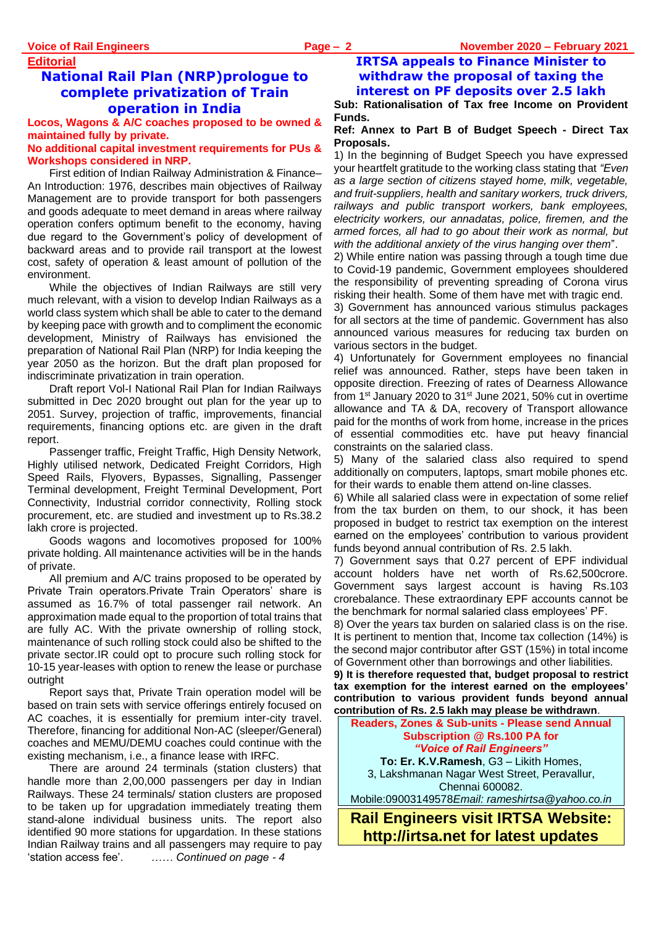# **Editorial National Rail Plan (NRP)prologue to complete privatization of Train operation in India**

**Locos, Wagons & A/C coaches proposed to be owned & maintained fully by private.**

#### **No additional capital investment requirements for PUs & Workshops considered in NRP.**

First edition of Indian Railway Administration & Finance– An Introduction: 1976, describes main objectives of Railway Management are to provide transport for both passengers and goods adequate to meet demand in areas where railway operation confers optimum benefit to the economy, having due regard to the Government's policy of development of backward areas and to provide rail transport at the lowest cost, safety of operation & least amount of pollution of the environment.

While the objectives of Indian Railways are still very much relevant, with a vision to develop Indian Railways as a world class system which shall be able to cater to the demand by keeping pace with growth and to compliment the economic development, Ministry of Railways has envisioned the preparation of National Rail Plan (NRP) for India keeping the year 2050 as the horizon. But the draft plan proposed for indiscriminate privatization in train operation.

Draft report Vol-I National Rail Plan for Indian Railways submitted in Dec 2020 brought out plan for the year up to 2051. Survey, projection of traffic, improvements, financial requirements, financing options etc. are given in the draft report.

Passenger traffic, Freight Traffic, High Density Network, Highly utilised network, Dedicated Freight Corridors, High Speed Rails, Flyovers, Bypasses, Signalling, Passenger Terminal development, Freight Terminal Development, Port Connectivity, Industrial corridor connectivity, Rolling stock procurement, etc. are studied and investment up to Rs.38.2 lakh crore is projected.

Goods wagons and locomotives proposed for 100% private holding. All maintenance activities will be in the hands of private.

All premium and A/C trains proposed to be operated by Private Train operators.Private Train Operators' share is assumed as 16.7% of total passenger rail network. An approximation made equal to the proportion of total trains that are fully AC. With the private ownership of rolling stock, maintenance of such rolling stock could also be shifted to the private sector.IR could opt to procure such rolling stock for 10-15 year-leases with option to renew the lease or purchase outright

Report says that, Private Train operation model will be based on train sets with service offerings entirely focused on AC coaches, it is essentially for premium inter-city travel. Therefore, financing for additional Non-AC (sleeper/General) coaches and MEMU/DEMU coaches could continue with the existing mechanism, i.e., a finance lease with IRFC.

There are around 24 terminals (station clusters) that handle more than 2,00,000 passengers per day in Indian Railways. These 24 terminals/ station clusters are proposed to be taken up for upgradation immediately treating them stand-alone individual business units. The report also identified 90 more stations for upgardation. In these stations Indian Railway trains and all passengers may require to pay 'station access fee'. *…… Continued on page - 4*

# **IRTSA appeals to Finance Minister to withdraw the proposal of taxing the interest on PF deposits over 2.5 lakh**

**Sub: Rationalisation of Tax free Income on Provident Funds.**

#### **Ref: Annex to Part B of Budget Speech - Direct Tax Proposals.**

1) In the beginning of Budget Speech you have expressed your heartfelt gratitude to the working class stating that *"Even as a large section of citizens stayed home, milk, vegetable, and fruit-suppliers, health and sanitary workers, truck drivers, railways and public transport workers, bank employees, electricity workers, our annadatas, police, firemen, and the armed forces, all had to go about their work as normal, but with the additional anxiety of the virus hanging over them*".

2) While entire nation was passing through a tough time due to Covid-19 pandemic, Government employees shouldered the responsibility of preventing spreading of Corona virus risking their health. Some of them have met with tragic end.

3) Government has announced various stimulus packages for all sectors at the time of pandemic. Government has also announced various measures for reducing tax burden on various sectors in the budget.

4) Unfortunately for Government employees no financial relief was announced. Rather, steps have been taken in opposite direction. Freezing of rates of Dearness Allowance from 1<sup>st</sup> January 2020 to  $31<sup>st</sup>$  June 2021, 50% cut in overtime allowance and TA & DA, recovery of Transport allowance paid for the months of work from home, increase in the prices of essential commodities etc. have put heavy financial constraints on the salaried class.

5) Many of the salaried class also required to spend additionally on computers, laptops, smart mobile phones etc. for their wards to enable them attend on-line classes.

6) While all salaried class were in expectation of some relief from the tax burden on them, to our shock, it has been proposed in budget to restrict tax exemption on the interest earned on the employees' contribution to various provident funds beyond annual contribution of Rs. 2.5 lakh.

7) Government says that 0.27 percent of EPF individual account holders have net worth of Rs.62,500crore. Government says largest account is having Rs.103 crorebalance. These extraordinary EPF accounts cannot be the benchmark for normal salaried class employees' PF.

8) Over the years tax burden on salaried class is on the rise. It is pertinent to mention that, Income tax collection (14%) is the second major contributor after GST (15%) in total income of Government other than borrowings and other liabilities.

**9) It is therefore requested that, budget proposal to restrict tax exemption for the interest earned on the employees' contribution to various provident funds beyond annual contribution of Rs. 2.5 lakh may please be withdrawn**.

**Readers, Zones & Sub-units - Please send Annual Subscription @ Rs.100 PA for**  *"Voice of Rail Engineers"* **To: Er. K.V.Ramesh**, G3 – Likith Homes, 3, Lakshmanan Nagar West Street, Peravallur, Chennai 600082. Mobile:09003149578*Email: [rameshirtsa@yahoo.co.in](mailto:rameshirtsa@yahoo.co.in)*

**Rail Engineers visit IRTSA Website: http://irtsa.net for latest updates**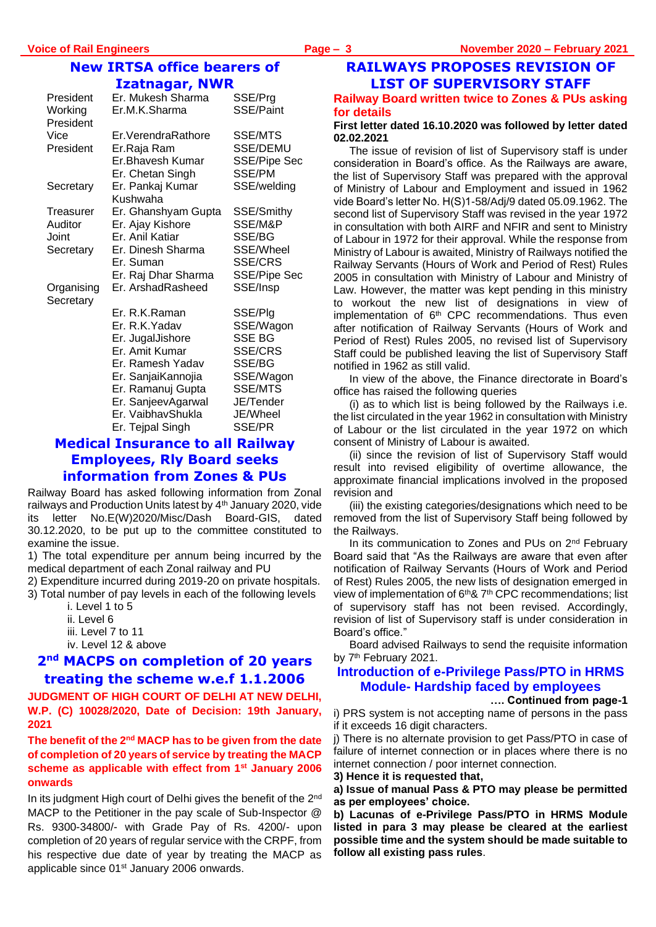## **New IRTSA office bearers of Izatnagar, NWR**

| President<br>Working<br>President | Er. Mukesh Sharma<br>Er.M.K.Sharma | SSE/Prg<br>SSE/Paint |
|-----------------------------------|------------------------------------|----------------------|
| Vice                              | Er. Verendra Rathore               | <b>SSE/MTS</b>       |
| President                         | Er.Raja Ram                        | SSE/DEMU             |
|                                   | Er.Bhavesh Kumar                   | <b>SSE/Pipe Sec</b>  |
|                                   | Er. Chetan Singh                   | SSE/PM               |
| Secretary                         | Er. Pankaj Kumar                   | SSE/welding          |
|                                   | Kushwaha                           |                      |
| Treasurer                         | Er. Ghanshyam Gupta                | SSE/Smithy           |
| Auditor                           | Er. Ajay Kishore                   | SSE/M&P              |
| Joint                             | Er. Anil Katiar                    | SSE/BG               |
| Secretary                         | Er. Dinesh Sharma                  | SSE/Wheel            |
|                                   | Er. Suman                          | <b>SSE/CRS</b>       |
|                                   | Er. Raj Dhar Sharma                | <b>SSE/Pipe Sec</b>  |
| Organising<br>Secretary           | Er. ArshadRasheed                  | SSE/Insp             |
|                                   | Er. R.K.Raman                      | SSE/Plg              |
|                                   | Er. R.K.Yadav                      | SSE/Wagon            |
|                                   | Er. JugalJishore                   | <b>SSE BG</b>        |
|                                   | Er. Amit Kumar                     | <b>SSE/CRS</b>       |
|                                   | Er. Ramesh Yadav                   | SSE/BG               |
|                                   | Er. SanjaiKannojia                 | SSE/Wagon            |
|                                   | Er. Ramanuj Gupta                  | <b>SSE/MTS</b>       |
|                                   | Er. SanjeevAgarwal                 | JE/Tender            |
|                                   | Er. VaibhavShukla                  | JE/Wheel             |
|                                   | Er. Tejpal Singh                   | SSE/PR               |

# **Medical Insurance to all Railway Employees, Rly Board seeks information from Zones & PUs**

Railway Board has asked following information from Zonal railways and Production Units latest by 4<sup>th</sup> January 2020, vide its letter No.E(W)2020/Misc/Dash Board-GIS, dated 30.12.2020, to be put up to the committee constituted to examine the issue.

1) The total expenditure per annum being incurred by the medical department of each Zonal railway and PU

2) Expenditure incurred during 2019-20 on private hospitals.

- 3) Total number of pay levels in each of the following levels
	- i. Level 1 to 5
	- ii. Level 6
	- iii. Level 7 to 11
	- iv. Level 12 & above

# **2 nd MACPS on completion of 20 years treating the scheme w.e.f 1.1.2006**

**JUDGMENT OF HIGH COURT OF DELHI AT NEW DELHI, W.P. (C) 10028/2020, Date of Decision: 19th January, 2021**

#### **The benefit of the 2nd MACP has to be given from the date of completion of 20 years of service by treating the MACP scheme as applicable with effect from 1st January 2006 onwards**

In its judgment High court of Delhi gives the benefit of the 2<sup>nd</sup> MACP to the Petitioner in the pay scale of Sub-Inspector @ Rs. 9300-34800/- with Grade Pay of Rs. 4200/- upon completion of 20 years of regular service with the CRPF, from his respective due date of year by treating the MACP as applicable since 01<sup>st</sup> January 2006 onwards.

# **RAILWAYS PROPOSES REVISION OF LIST OF SUPERVISORY STAFF**

#### **Railway Board written twice to Zones & PUs asking for details**

#### **First letter dated 16.10.2020 was followed by letter dated 02.02.2021**

The issue of revision of list of Supervisory staff is under consideration in Board's office. As the Railways are aware, the list of Supervisory Staff was prepared with the approval of Ministry of Labour and Employment and issued in 1962 vide Board's letter No. H(S)1-58/Adj/9 dated 05.09.1962. The second list of Supervisory Staff was revised in the year 1972 in consultation with both AIRF and NFIR and sent to Ministry of Labour in 1972 for their approval. While the response from Ministry of Labour is awaited, Ministry of Railways notified the Railway Servants (Hours of Work and Period of Rest) Rules 2005 in consultation with Ministry of Labour and Ministry of Law. However, the matter was kept pending in this ministry to workout the new list of designations in view of implementation of 6<sup>th</sup> CPC recommendations. Thus even after notification of Railway Servants (Hours of Work and Period of Rest) Rules 2005, no revised list of Supervisory Staff could be published leaving the list of Supervisory Staff notified in 1962 as still valid.

In view of the above, the Finance directorate in Board's office has raised the following queries

(i) as to which list is being followed by the Railways i.e. the list circulated in the year 1962 in consultation with Ministry of Labour or the list circulated in the year 1972 on which consent of Ministry of Labour is awaited.

(ii) since the revision of list of Supervisory Staff would result into revised eligibility of overtime allowance, the approximate financial implications involved in the proposed revision and

(iii) the existing categories/designations which need to be removed from the list of Supervisory Staff being followed by the Railways.

In its communication to Zones and PUs on 2<sup>nd</sup> February Board said that "As the Railways are aware that even after notification of Railway Servants (Hours of Work and Period of Rest) Rules 2005, the new lists of designation emerged in view of implementation of 6<sup>th</sup>& 7<sup>th</sup> CPC recommendations; list of supervisory staff has not been revised. Accordingly, revision of list of Supervisory staff is under consideration in Board's office."

Board advised Railways to send the requisite information by 7<sup>th</sup> February 2021.

## **Introduction of e-Privilege Pass/PTO in HRMS Module- Hardship faced by employees**

#### **…. Continued from page-1**

i) PRS system is not accepting name of persons in the pass if it exceeds 16 digit characters.

j) There is no alternate provision to get Pass/PTO in case of failure of internet connection or in places where there is no internet connection / poor internet connection.

**3) Hence it is requested that,**

#### **a) Issue of manual Pass & PTO may please be permitted as per employees' choice.**

**b) Lacunas of e-Privilege Pass/PTO in HRMS Module listed in para 3 may please be cleared at the earliest possible time and the system should be made suitable to follow all existing pass rules**.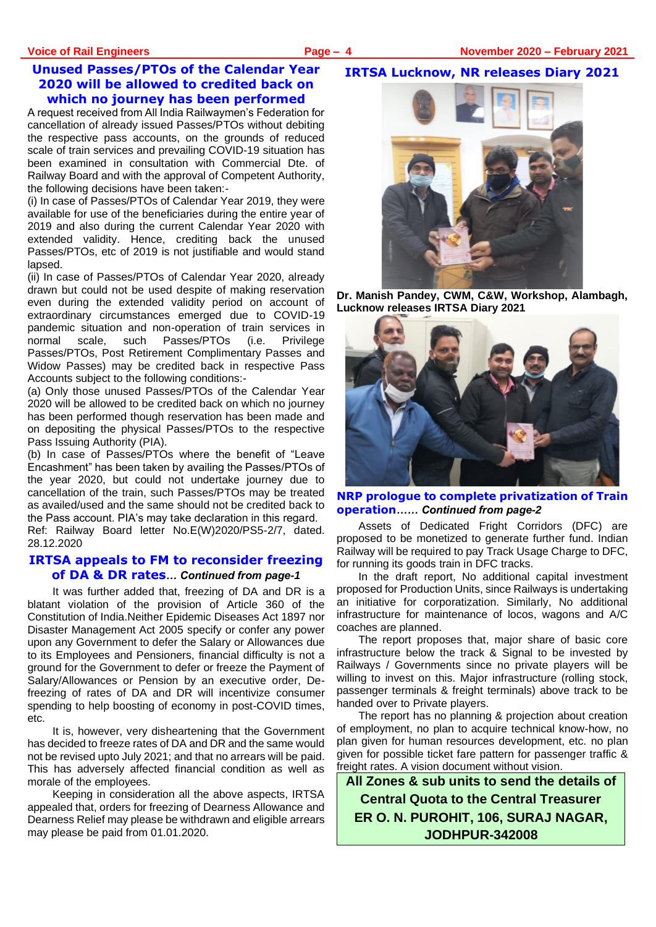### **Unused Passes/PTOs of the Calendar Year 2020 will be allowed to credited back on which no journey has been performed**

A request received from All India Railwaymen's Federation for cancellation of already issued Passes/PTOs without debiting the respective pass accounts, on the grounds of reduced scale of train services and prevailing COVID-19 situation has been examined in consultation with Commercial Dte. of Railway Board and with the approval of Competent Authority, the following decisions have been taken:-

(i) In case of Passes/PTOs of Calendar Year 2019, they were available for use of the beneficiaries during the entire year of 2019 and also during the current Calendar Year 2020 with extended validity. Hence, crediting back the unused Passes/PTOs, etc of 2019 is not justifiable and would stand lapsed.

(ii) In case of Passes/PTOs of Calendar Year 2020, already drawn but could not be used despite of making reservation even during the extended validity period on account of extraordinary circumstances emerged due to COVID-19 pandemic situation and non-operation of train services in normal scale, such Passes/PTOs (i.e. Privilege Passes/PTOs, Post Retirement Complimentary Passes and Widow Passes) may be credited back in respective Pass Accounts subject to the following conditions:-

(a) Only those unused Passes/PTOs of the Calendar Year 2020 will be allowed to be credited back on which no journey has been performed though reservation has been made and on depositing the physical Passes/PTOs to the respective Pass Issuing Authority (PIA).

(b) In case of Passes/PTOs where the benefit of "Leave Encashment" has been taken by availing the Passes/PTOs of the year 2020, but could not undertake journey due to cancellation of the train, such Passes/PTOs may be treated as availed/used and the same should not be credited back to the Pass account. PIA's may take declaration in this regard.

Ref: Railway Board letter No.E(W)2020/PS5-2/7, dated. 28.12.2020

#### **IRTSA appeals to FM to reconsider freezing of DA & DR rates***… Continued from page-1*

It was further added that, freezing of DA and DR is a blatant violation of the provision of Article 360 of the Constitution of India.Neither Epidemic Diseases Act 1897 nor Disaster Management Act 2005 specify or confer any power upon any Government to defer the Salary or Allowances due to its Employees and Pensioners, financial difficulty is not a ground for the Government to defer or freeze the Payment of Salary/Allowances or Pension by an executive order, Defreezing of rates of DA and DR will incentivize consumer spending to help boosting of economy in post-COVID times, etc.

It is, however, very disheartening that the Government has decided to freeze rates of DA and DR and the same would not be revised upto July 2021; and that no arrears will be paid. This has adversely affected financial condition as well as morale of the employees.

Keeping in consideration all the above aspects, IRTSA appealed that, orders for freezing of Dearness Allowance and Dearness Relief may please be withdrawn and eligible arrears may please be paid from 01.01.2020.

#### **IRTSA Lucknow, NR releases Diary 2021**



**Dr. Manish Pandey, CWM, C&W, Workshop, Alambagh, Lucknow releases IRTSA Diary 2021**



**NRP prologue to complete privatization of Train operation***…… Continued from page-2*

Assets of Dedicated Fright Corridors (DFC) are proposed to be monetized to generate further fund. Indian Railway will be required to pay Track Usage Charge to DFC, for running its goods train in DFC tracks.

In the draft report, No additional capital investment proposed for Production Units, since Railways is undertaking an initiative for corporatization. Similarly, No additional infrastructure for maintenance of locos, wagons and A/C coaches are planned.

The report proposes that, major share of basic core infrastructure below the track & Signal to be invested by Railways / Governments since no private players will be willing to invest on this. Major infrastructure (rolling stock, passenger terminals & freight terminals) above track to be handed over to Private players.

The report has no planning & projection about creation of employment, no plan to acquire technical know-how, no plan given for human resources development, etc. no plan given for possible ticket fare pattern for passenger traffic & freight rates. A vision document without vision.

**All Zones & sub units to send the details of Central Quota to the Central Treasurer ER O. N. PUROHIT, 106, SURAJ NAGAR, JODHPUR-342008**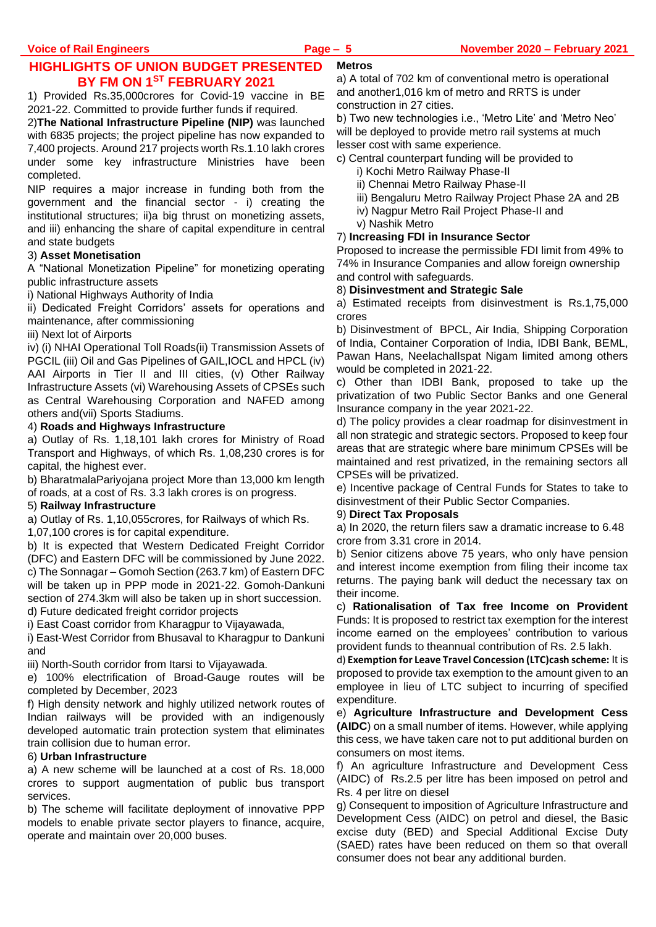#### **HIGHLIGHTS OF UNION BUDGET PRESENTED BY FM ON 1ST FEBRUARY 2021 Metros**

1) Provided Rs.35,000crores for Covid-19 vaccine in BE 2021-22. Committed to provide further funds if required.

2)**The National Infrastructure Pipeline (NIP)** was launched with 6835 projects; the project pipeline has now expanded to 7,400 projects. Around 217 projects worth Rs.1.10 lakh crores under some key infrastructure Ministries have been completed.

NIP requires a major increase in funding both from the government and the financial sector - i) creating the institutional structures; ii)a big thrust on monetizing assets, and iii) enhancing the share of capital expenditure in central and state budgets

#### 3) **Asset Monetisation**

A "National Monetization Pipeline" for monetizing operating public infrastructure assets

i) National Highways Authority of India

ii) Dedicated Freight Corridors' assets for operations and maintenance, after commissioning

#### iii) Next lot of Airports

iv) (i) NHAI Operational Toll Roads(ii) Transmission Assets of PGCIL (iii) Oil and Gas Pipelines of GAIL,IOCL and HPCL (iv) AAI Airports in Tier II and III cities, (v) Other Railway Infrastructure Assets (vi) Warehousing Assets of CPSEs such as Central Warehousing Corporation and NAFED among others and(vii) Sports Stadiums.

#### 4) **Roads and Highways Infrastructure**

a) Outlay of Rs. 1,18,101 lakh crores for Ministry of Road Transport and Highways, of which Rs. 1,08,230 crores is for capital, the highest ever.

b) BharatmalaPariyojana project More than 13,000 km length of roads, at a cost of Rs. 3.3 lakh crores is on progress.

#### 5) **Railway Infrastructure**

a) Outlay of Rs. 1,10,055crores, for Railways of which Rs.

1,07,100 crores is for capital expenditure.

b) It is expected that Western Dedicated Freight Corridor (DFC) and Eastern DFC will be commissioned by June 2022. c) The Sonnagar – Gomoh Section (263.7 km) of Eastern DFC will be taken up in PPP mode in 2021-22. Gomoh-Dankuni section of 274.3km will also be taken up in short succession. d) Future dedicated freight corridor projects

i) East Coast corridor from Kharagpur to Vijayawada,

i) East-West Corridor from Bhusaval to Kharagpur to Dankuni and

iii) North-South corridor from Itarsi to Vijayawada.

e) 100% electrification of Broad-Gauge routes will be completed by December, 2023

f) High density network and highly utilized network routes of Indian railways will be provided with an indigenously developed automatic train protection system that eliminates train collision due to human error.

#### 6) **Urban Infrastructure**

a) A new scheme will be launched at a cost of Rs. 18,000 crores to support augmentation of public bus transport services.

b) The scheme will facilitate deployment of innovative PPP models to enable private sector players to finance, acquire, operate and maintain over 20,000 buses.

a) A total of 702 km of conventional metro is operational and another1,016 km of metro and RRTS is under construction in 27 cities.

b) Two new technologies i.e., 'Metro Lite' and 'Metro Neo' will be deployed to provide metro rail systems at much lesser cost with same experience.

c) Central counterpart funding will be provided to

- i) Kochi Metro Railway Phase-II
- ii) Chennai Metro Railway Phase-II
- iii) Bengaluru Metro Railway Project Phase 2A and 2B
- iv) Nagpur Metro Rail Project Phase-II and
- v) Nashik Metro

#### 7) **Increasing FDI in Insurance Sector**

Proposed to increase the permissible FDI limit from 49% to 74% in Insurance Companies and allow foreign ownership and control with safeguards.

#### 8) **Disinvestment and Strategic Sale**

a) Estimated receipts from disinvestment is Rs.1,75,000 crores

b) Disinvestment of BPCL, Air India, Shipping Corporation of India, Container Corporation of India, IDBI Bank, BEML, Pawan Hans, NeelachalIspat Nigam limited among others would be completed in 2021-22.

c) Other than IDBI Bank, proposed to take up the privatization of two Public Sector Banks and one General Insurance company in the year 2021-22.

d) The policy provides a clear roadmap for disinvestment in all non strategic and strategic sectors. Proposed to keep four areas that are strategic where bare minimum CPSEs will be maintained and rest privatized, in the remaining sectors all CPSEs will be privatized.

e) Incentive package of Central Funds for States to take to disinvestment of their Public Sector Companies.

#### 9) **Direct Tax Proposals**

a) In 2020, the return filers saw a dramatic increase to 6.48 crore from 3.31 crore in 2014.

b) Senior citizens above 75 years, who only have pension and interest income exemption from filing their income tax returns. The paying bank will deduct the necessary tax on their income.

c) **Rationalisation of Tax free Income on Provident**  Funds: It is proposed to restrict tax exemption for the interest income earned on the employees' contribution to various provident funds to theannual contribution of Rs. 2.5 lakh.

d) **Exemption for Leave Travel Concession (LTC)cash scheme:** It is proposed to provide tax exemption to the amount given to an employee in lieu of LTC subject to incurring of specified expenditure.

e) **Agriculture Infrastructure and Development Cess (AIDC**) on a small number of items. However, while applying this cess, we have taken care not to put additional burden on consumers on most items.

f) An agriculture Infrastructure and Development Cess (AIDC) of Rs.2.5 per litre has been imposed on petrol and Rs. 4 per litre on diesel

g) Consequent to imposition of Agriculture Infrastructure and Development Cess (AIDC) on petrol and diesel, the Basic excise duty (BED) and Special Additional Excise Duty (SAED) rates have been reduced on them so that overall consumer does not bear any additional burden.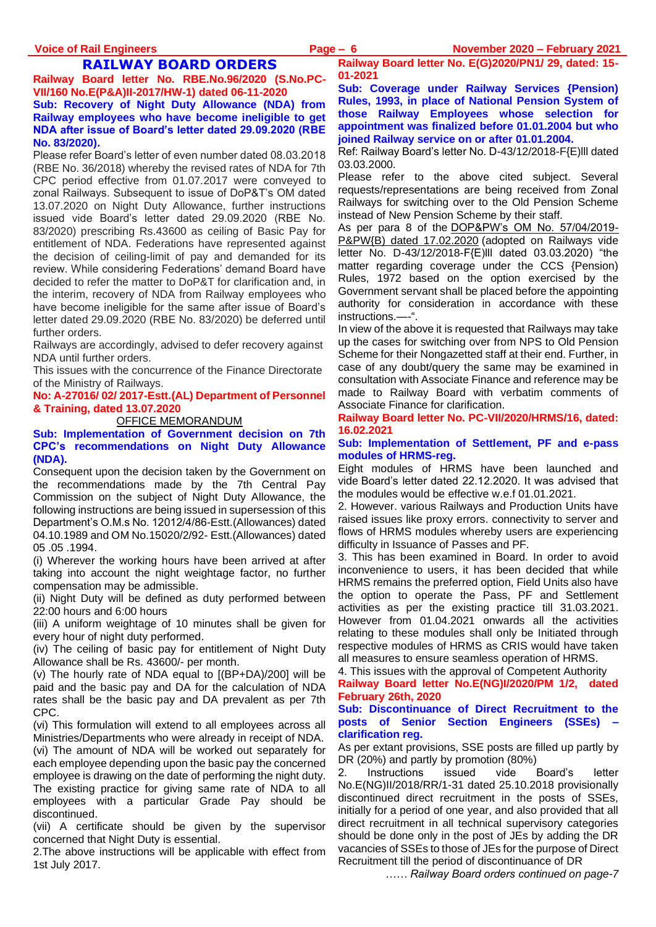### **RAILWAY BOARD ORDERS**

**Railway Board letter No. RBE.No.96/2020 (S.No.PC-VII/160 No.E(P&A)II-2017/HW-1) dated 06-11-2020**

#### **Sub: Recovery of Night Duty Allowance (NDA) from Railway employees who have become ineligible to get NDA after issue of Board's letter dated 29.09.2020 (RBE No. 83/2020).**

Please refer Board's letter of even number dated 08.03.2018 (RBE No. 36/2018) whereby the revised rates of NDA for 7th CPC period effective from 01.07.2017 were conveyed to zonal Railways. Subsequent to issue of DoP&T's OM dated 13.07.2020 on Night Duty Allowance, further instructions issued vide Board's letter dated 29.09.2020 (RBE No. 83/2020) prescribing Rs.43600 as ceiling of Basic Pay for entitlement of NDA. Federations have represented against the decision of ceiling-limit of pay and demanded for its review. While considering Federations' demand Board have decided to refer the matter to DoP&T for clarification and, in the interim, recovery of NDA from Railway employees who have become ineligible for the same after issue of Board's letter dated 29.09.2020 (RBE No. 83/2020) be deferred until further orders.

Railways are accordingly, advised to defer recovery against NDA until further orders.

This issues with the concurrence of the Finance Directorate of the Ministry of Railways.

**No: A-27016/ 02/ 2017-Estt.(AL) Department of Personnel & Training, dated 13.07.2020**

#### OFFICE MEMORANDUM

**Sub: Implementation of Government decision on 7th CPC's recommendations on Night Duty Allowance (NDA).**

Consequent upon the decision taken by the Government on the recommendations made by the 7th Central Pay Commission on the subject of Night Duty Allowance, the following instructions are being issued in supersession of this Department's O.M.s No. 12012/4/86-Estt.(Allowances) dated 04.10.1989 and OM No.15020/2/92- Estt.(Allowances) dated 05 .05 .1994.

(i) Wherever the working hours have been arrived at after taking into account the night weightage factor, no further compensation may be admissible.

(ii) Night Duty will be defined as duty performed between 22:00 hours and 6:00 hours

(iii) A uniform weightage of 10 minutes shall be given for every hour of night duty performed.

(iv) The ceiling of basic pay for entitlement of Night Duty Allowance shall be Rs. 43600/- per month.

(v) The hourly rate of NDA equal to [(BP+DA)/200] will be paid and the basic pay and DA for the calculation of NDA rates shall be the basic pay and DA prevalent as per 7th CPC.

(vi) This formulation will extend to all employees across all Ministries/Departments who were already in receipt of NDA. (vi) The amount of NDA will be worked out separately for each employee depending upon the basic pay the concerned employee is drawing on the date of performing the night duty. The existing practice for giving same rate of NDA to all employees with a particular Grade Pay should be discontinued.

(vii) A certificate should be given by the supervisor concerned that Night Duty is essential.

2.The above instructions will be applicable with effect from 1st July 2017.

**Railway Board letter No. E(G)2020/PN1/ 29, dated: 15- 01-2021**

**Sub: Coverage under Railway Services {Pension) Rules, 1993, in place of National Pension System of those Railway Employees whose selection for appointment was finalized before 01.01.2004 but who joined Railway service on or after 01.01.2004.**

Ref: Railway Board's letter No. D-43/12/2018-F{E)lll dated 03.03.2000.

Please refer to the above cited subject. Several requests/representations are being received from Zonal Railways for switching over to the Old Pension Scheme instead of New Pension Scheme by their staff.

As per para 8 of the [DOP&PW's OM No. 57/04/2019-](https://www.staffnews.in/2020/02/nps-to-ops-one-time-option-for-selected-before-01-01-2004-doppw-order-dated-17-02-2020.html) [P&PW{B\) dated 17.02.2020](https://www.staffnews.in/2020/02/nps-to-ops-one-time-option-for-selected-before-01-01-2004-doppw-order-dated-17-02-2020.html) (adopted on Railways vide letter No. D-43/12/2018-F{E)lll dated 03.03.2020) "the matter regarding coverage under the CCS {Pension) Rules, 1972 based on the option exercised by the Government servant shall be placed before the appointing authority for consideration in accordance with these instructions.—-".

In view of the above it is requested that Railways may take up the cases for switching over from NPS to Old Pension Scheme for their Nongazetted staff at their end. Further, in case of any doubt/query the same may be examined in consultation with Associate Finance and reference may be made to Railway Board with verbatim comments of Associate Finance for clarification.

#### **Railway Board letter No. PC-VII/2020/HRMS/16, dated: 16.02.2021**

#### **Sub: Implementation of Settlement, PF and e-pass modules of HRMS-reg.**

Eight modules of HRMS have been launched and vide Board's letter dated 22.12.2020. It was advised that the modules would be effective w.e.f 01.01.2021.

2. However. various Railways and Production Units have raised issues like proxy errors. connectivity to server and flows of HRMS modules whereby users are experiencing difficulty in Issuance of Passes and PF.

3. This has been examined in Board. In order to avoid inconvenience to users, it has been decided that while HRMS remains the preferred option, Field Units also have the option to operate the Pass, PF and Settlement activities as per the existing practice till 31.03.2021. However from 01.04.2021 onwards all the activities relating to these modules shall only be Initiated through respective modules of HRMS as CRIS would have taken all measures to ensure seamless operation of HRMS.

4. This issues with the approval of Competent Authority

**Railway Board letter No.E(NG)I/2020/PM 1/2, dated February 26th, 2020**

#### **Sub: Discontinuance of Direct Recruitment to the posts of Senior Section Engineers (SSEs) – clarification reg.**

As per extant provisions, SSE posts are filled up partly by DR (20%) and partly by promotion (80%)

2. Instructions issued vide Board's letter No.E(NG)II/2018/RR/1-31 dated 25.10.2018 provisionally discontinued direct recruitment in the posts of SSEs, initially for a period of one year, and also provided that all direct recruitment in all technical supervisory categories should be done only in the post of JEs by adding the DR vacancies of SSEs to those of JEs for the purpose of Direct Recruitment till the period of discontinuance of DR

*…… Railway Board orders continued on page-7*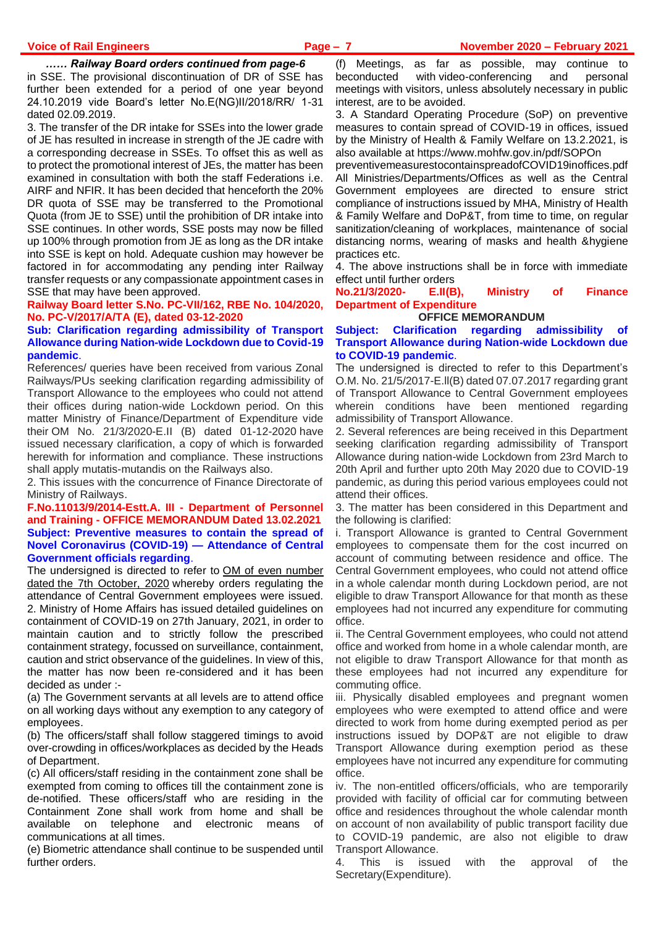#### *…… Railway Board orders continued from page-6*

in SSE. The provisional discontinuation of DR of SSE has further been extended for a period of one year beyond 24.10.2019 vide Board's letter No.E(NG)II/2018/RR/ 1-31 dated 02.09.2019.

3. The transfer of the DR intake for SSEs into the lower grade of JE has resulted in increase in strength of the JE cadre with a corresponding decrease in SSEs. To offset this as well as to protect the promotional interest of JEs, the matter has been examined in consultation with both the staff Federations i.e. AIRF and NFIR. It has been decided that henceforth the 20% DR quota of SSE may be transferred to the Promotional Quota (from JE to SSE) until the prohibition of DR intake into SSE continues. In other words, SSE posts may now be filled up 100% through promotion from JE as long as the DR intake into SSE is kept on hold. Adequate cushion may however be factored in for accommodating any pending inter Railway transfer requests or any compassionate appointment cases in SSE that may have been approved.

**Railway Board letter S.No. PC-VII/162, RBE No. 104/2020, No. PC-V/2017/A/TA (E), dated 03-12-2020**

#### **Sub: Clarification regarding admissibility of Transport Allowance during Nation-wide Lockdown due to Covid-19 pandemic**.

References/ queries have been received from various Zonal Railways/PUs seeking clarification regarding admissibility of Transport Allowance to the employees who could not attend their offices during nation-wide Lockdown period. On this matter Ministry of Finance/Department of Expenditure vide their OM No. 21/3/2020-E.II (B) dated 01-12-2020 have issued necessary clarification, a copy of which is forwarded herewith for information and compliance. These instructions shall apply mutatis-mutandis on the Railways also.

2. This issues with the concurrence of Finance Directorate of Ministry of Railways.

#### **F.No.11013/9/2014-Estt.A. III - Department of Personnel and Training - OFFICE MEMORANDUM Dated 13.02.2021 Subject: Preventive measures to contain the spread of Novel Coronavirus (COVID-19) — Attendance of Central Government officials regarding**.

The undersigned is directed to refer to OM of even number dated [the 7th October, 2020](https://www.staffnews.in/2020/10/attendance-of-central-government-officials-due-to-covid-19-latest-dopt-om-dated-07-10-2020-with-staggered-timing.html) whereby orders regulating the attendance of Central Government employees were issued. 2. Ministry of Home Affairs has issued detailed guidelines on containment of COVID-19 on 27th January, 2021, in order to maintain caution and to strictly follow the prescribed containment strategy, focussed on surveillance, containment, caution and strict observance of the guidelines. In view of this, the matter has now been re-considered and it has been decided as under :-

(a) The Government servants at all levels are to attend office on all working days without any exemption to any category of employees.

(b) The officers/staff shall follow staggered timings to avoid over-crowding in offices/workplaces as decided by the Heads of Department.

(c) All officers/staff residing in the containment zone shall be exempted from coming to offices till the containment zone is de-notified. These officers/staff who are residing in the Containment Zone shall work from home and shall be available on telephone and electronic means of communications at all times.

(e) Biometric attendance shall continue to be suspended until further orders.

(f) Meetings, as far as possible, may continue to beconducted with video-conferencing and personal meetings with visitors, unless absolutely necessary in public interest, are to be avoided.

3. A Standard Operating Procedure (SoP) on preventive measures to contain spread of COVID-19 in offices, issued by the Ministry of Health & Family Welfare on 13.2.2021, is also available at https://www.mohfw.gov.in/pdf/SOPOn

preventivemeasurestocontainspreadofCOVID19inoffices.pdf All Ministries/Departments/Offices as well as the Central Government employees are directed to ensure strict compliance of instructions issued by MHA, Ministry of Health & Family Welfare and DoP&T, from time to time, on regular sanitization/cleaning of workplaces, maintenance of social distancing norms, wearing of masks and health &hygiene practices etc.

4. The above instructions shall be in force with immediate effect until further orders

**No.21/3/2020- E.II(B), Ministry of Finance Department of Expenditure**

**OFFICE MEMORANDUM**

#### **Subject: Clarification regarding admissibility of Transport Allowance during Nation-wide Lockdown due to COVID-19 pandemic**.

The undersigned is directed to refer to this Department's O.M. No. 21/5/2017-E.ll(B) dated 07.07.2017 regarding grant of Transport Allowance to Central Government employees wherein conditions have been mentioned regarding admissibility of Transport Allowance.

2. Several references are being received in this Department seeking clarification regarding admissibility of Transport Allowance during nation-wide Lockdown from 23rd March to 20th April and further upto 20th May 2020 due to COVID-19 pandemic, as during this period various employees could not attend their offices.

3. The matter has been considered in this Department and the following is clarified:

i. Transport Allowance is granted to Central Government employees to compensate them for the cost incurred on account of commuting between residence and office. The Central Government employees, who could not attend office in a whole calendar month during Lockdown period, are not eligible to draw Transport Allowance for that month as these employees had not incurred any expenditure for commuting office.

ii. The Central Government employees, who could not attend office and worked from home in a whole calendar month, are not eligible to draw Transport Allowance for that month as these employees had not incurred any expenditure for commuting office.

iii. Physically disabled employees and pregnant women employees who were exempted to attend office and were directed to work from home during exempted period as per instructions issued by DOP&T are not eligible to draw Transport Allowance during exemption period as these employees have not incurred any expenditure for commuting office.

iv. The non-entitled officers/officials, who are temporarily provided with facility of official car for commuting between office and residences throughout the whole calendar month on account of non availability of public transport facility due to COVID-19 pandemic, are also not eligible to draw Transport Allowance.

4. This is issued with the approval of the Secretary(Expenditure).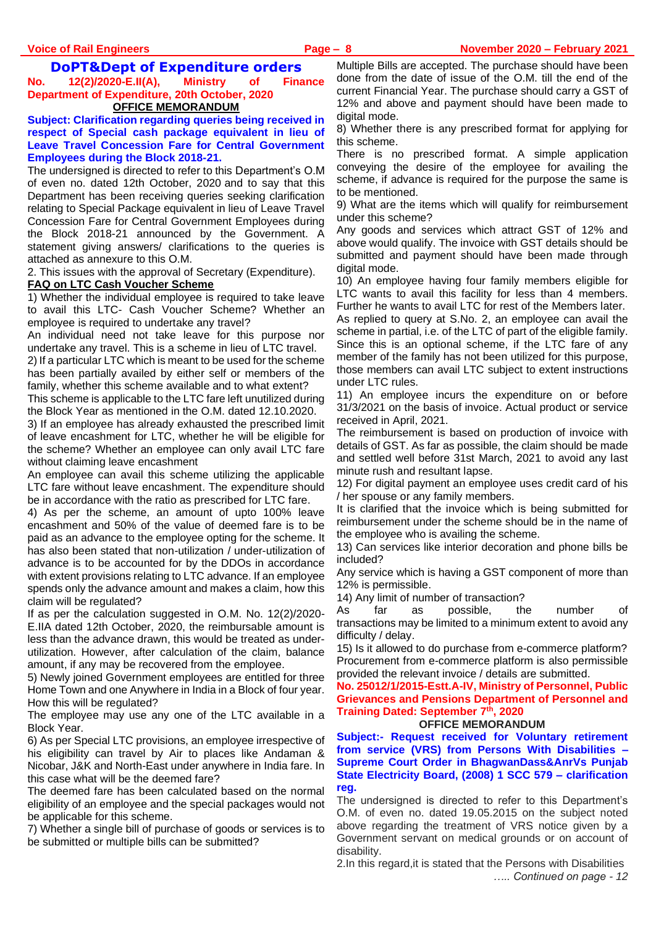#### **DoPT&Dept of Expenditure orders**

**No. 12(2)/2020-E.II(A), Ministry of Finance Department of Expenditure, 20th October, 2020 OFFICE MEMORANDUM**

**Subject: Clarification regarding queries being received in respect of Special cash package equivalent in lieu of Leave Travel Concession Fare for Central Government Employees during the Block 2018-21.**

The undersigned is directed to refer to this Department's O.M of even no. dated 12th October, 2020 and to say that this Department has been receiving queries seeking clarification relating to Special Package equivalent in lieu of Leave Travel Concession Fare for Central Government Employees during the Block 2018-21 announced by the Government. A statement giving answers/ clarifications to the queries is attached as annexure to this O.M.

2. This issues with the approval of Secretary (Expenditure).

#### **FAQ on LTC Cash Voucher Scheme**

1) Whether the individual employee is required to take leave to avail this LTC- Cash Voucher Scheme? Whether an employee is required to undertake any travel?

An individual need not take leave for this purpose nor undertake any travel. This is a scheme in lieu of LTC travel.

2) If a particular LTC which is meant to be used for the scheme has been partially availed by either self or members of the family, whether this scheme available and to what extent?

This scheme is applicable to the LTC fare left unutilized during the Block Year as mentioned in the O.M. dated 12.10.2020.

3) If an employee has already exhausted the prescribed limit of leave encashment for LTC, whether he will be eligible for the scheme? Whether an employee can only avail LTC fare without claiming leave encashment

An employee can avail this scheme utilizing the applicable LTC fare without leave encashment. The expenditure should be in accordance with the ratio as prescribed for LTC fare.

4) As per the scheme, an amount of upto 100% leave encashment and 50% of the value of deemed fare is to be paid as an advance to the employee opting for the scheme. It has also been stated that non-utilization / under-utilization of advance is to be accounted for by the DDOs in accordance with extent provisions relating to LTC advance. If an employee spends only the advance amount and makes a claim, how this claim will be regulated?

If as per the calculation suggested in O.M. No. 12(2)/2020- E.IIA dated 12th October, 2020, the reimbursable amount is less than the advance drawn, this would be treated as underutilization. However, after calculation of the claim, balance amount, if any may be recovered from the employee.

5) Newly joined Government employees are entitled for three Home Town and one Anywhere in India in a Block of four year. How this will be regulated?

The employee may use any one of the LTC available in a Block Year.

6) As per Special LTC provisions, an employee irrespective of his eligibility can travel by Air to places like Andaman & Nicobar, J&K and North-East under anywhere in India fare. In this case what will be the deemed fare?

The deemed fare has been calculated based on the normal eligibility of an employee and the special packages would not be applicable for this scheme.

7) Whether a single bill of purchase of goods or services is to be submitted or multiple bills can be submitted?

Multiple Bills are accepted. The purchase should have been done from the date of issue of the O.M. till the end of the current Financial Year. The purchase should carry a GST of 12% and above and payment should have been made to digital mode.

8) Whether there is any prescribed format for applying for this scheme.

There is no prescribed format. A simple application conveying the desire of the employee for availing the scheme, if advance is required for the purpose the same is to be mentioned.

9) What are the items which will qualify for reimbursement under this scheme?

Any goods and services which attract GST of 12% and above would qualify. The invoice with GST details should be submitted and payment should have been made through digital mode.

10) An employee having four family members eligible for LTC wants to avail this facility for less than 4 members. Further he wants to avail LTC for rest of the Members later. As replied to query at S.No. 2, an employee can avail the scheme in partial, i.e. of the LTC of part of the eligible family. Since this is an optional scheme, if the LTC fare of any member of the family has not been utilized for this purpose, those members can avail LTC subject to extent instructions under LTC rules.

11) An employee incurs the expenditure on or before 31/3/2021 on the basis of invoice. Actual product or service received in April, 2021.

The reimbursement is based on production of invoice with details of GST. As far as possible, the claim should be made and settled well before 31st March, 2021 to avoid any last minute rush and resultant lapse.

12) For digital payment an employee uses credit card of his / her spouse or any family members.

It is clarified that the invoice which is being submitted for reimbursement under the scheme should be in the name of the employee who is availing the scheme.

13) Can services like interior decoration and phone bills be included?

Any service which is having a GST component of more than 12% is permissible.

14) Any limit of number of transaction?

As far as possible, the number of transactions may be limited to a minimum extent to avoid any difficulty / delay.

15) Is it allowed to do purchase from e-commerce platform? Procurement from e-commerce platform is also permissible provided the relevant invoice / details are submitted.

**No. 25012/1/2015-Estt.A-IV, Ministry of Personnel, Public Grievances and Pensions Department of Personnel and Training Dated: September 7th, 2020**

#### **OFFICE MEMORANDUM**

**Subject:- Request received for Voluntary retirement from service (VRS) from Persons With Disabilities – Supreme Court Order in BhagwanDass&AnrVs Punjab State Electricity Board, (2008) 1 SCC 579 – clarification reg.**

The undersigned is directed to refer to this Department's O.M. of even no. dated 19.05.2015 on the subject noted above regarding the treatment of VRS notice given by a Government servant on medical grounds or on account of disability.

2.In this regard,it is stated that the Persons with Disabilities *….. Continued on page - 12*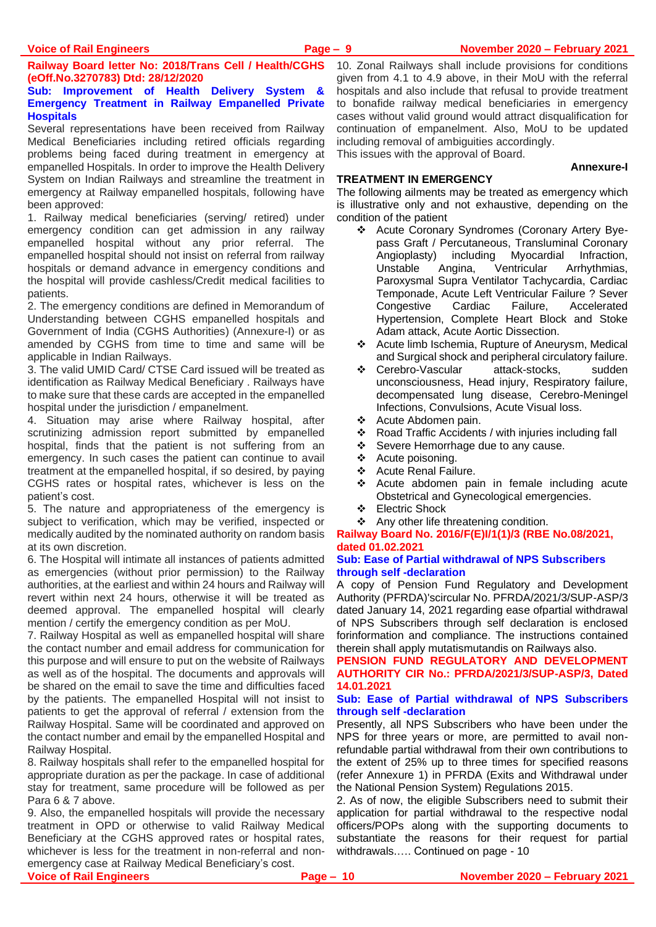**Railway Board letter No: 2018/Trans Cell / Health/CGHS (eOff.No.3270783) Dtd: 28/12/2020**

#### **Sub: Improvement of Health Delivery System & Emergency Treatment in Railway Empanelled Private Hospitals**

Several representations have been received from Railway Medical Beneficiaries including retired officials regarding problems being faced during treatment in emergency at empanelled Hospitals. In order to improve the Health Delivery System on Indian Railways and streamline the treatment in emergency at Railway empanelled hospitals, following have been approved:

1. Railway medical beneficiaries (serving/ retired) under emergency condition can get admission in any railway empanelled hospital without any prior referral. The empanelled hospital should not insist on referral from railway hospitals or demand advance in emergency conditions and the hospital will provide cashless/Credit medical facilities to patients.

2. The emergency conditions are defined in Memorandum of Understanding between CGHS empanelled hospitals and Government of India (CGHS Authorities) (Annexure-I) or as amended by CGHS from time to time and same will be applicable in Indian Railways.

3. The valid UMID Card/ CTSE Card issued will be treated as identification as Railway Medical Beneficiary . Railways have to make sure that these cards are accepted in the empanelled hospital under the jurisdiction / empanelment.

4. Situation may arise where Railway hospital, after scrutinizing admission report submitted by empanelled hospital, finds that the patient is not suffering from an emergency. In such cases the patient can continue to avail treatment at the empanelled hospital, if so desired, by paying CGHS rates or hospital rates, whichever is less on the patient's cost.

5. The nature and appropriateness of the emergency is subject to verification, which may be verified, inspected or medically audited by the nominated authority on random basis at its own discretion.

6. The Hospital will intimate all instances of patients admitted as emergencies (without prior permission) to the Railway authorities, at the earliest and within 24 hours and Railway will revert within next 24 hours, otherwise it will be treated as deemed approval. The empanelled hospital will clearly mention / certify the emergency condition as per MoU.

7. Railway Hospital as well as empanelled hospital will share the contact number and email address for communication for this purpose and will ensure to put on the website of Railways as well as of the hospital. The documents and approvals will be shared on the email to save the time and difficulties faced by the patients. The empanelled Hospital will not insist to patients to get the approval of referral / extension from the Railway Hospital. Same will be coordinated and approved on the contact number and email by the empanelled Hospital and Railway Hospital.

8. Railway hospitals shall refer to the empanelled hospital for appropriate duration as per the package. In case of additional stay for treatment, same procedure will be followed as per Para 6 & 7 above.

9. Also, the empanelled hospitals will provide the necessary treatment in OPD or otherwise to valid Railway Medical Beneficiary at the CGHS approved rates or hospital rates, whichever is less for the treatment in non-referral and nonemergency case at Railway Medical Beneficiary's cost. **Voice of Rail Engineers Page – 10 November 2020 – February 2021**

10. Zonal Railways shall include provisions for conditions given from 4.1 to 4.9 above, in their MoU with the referral hospitals and also include that refusal to provide treatment to bonafide railway medical beneficiaries in emergency cases without valid ground would attract disqualification for continuation of empanelment. Also, MoU to be updated including removal of ambiguities accordingly. This issues with the approval of Board.

**Annexure-I**

#### **TREATMENT IN EMERGENCY**

The following ailments may be treated as emergency which is illustrative only and not exhaustive, depending on the condition of the patient

- ❖ Acute Coronary Syndromes (Coronary Artery Byepass Graft / Percutaneous, Transluminal Coronary Angioplasty) including Myocardial Infraction, Unstable Angina, Ventricular Arrhythmias, Paroxysmal Supra Ventilator Tachycardia, Cardiac Temponade, Acute Left Ventricular Failure ? Sever Congestive Cardiac Failure, Accelerated Hypertension, Complete Heart Block and Stoke Adam attack, Acute Aortic Dissection.
- ❖ Acute limb Ischemia, Rupture of Aneurysm, Medical and Surgical shock and peripheral circulatory failure.
- ❖ Cerebro-Vascular attack-stocks, sudden unconsciousness, Head injury, Respiratory failure, decompensated lung disease, Cerebro-Meningel Infections, Convulsions, Acute Visual loss.
- ❖ Acute Abdomen pain.
- ❖ Road Traffic Accidents / with injuries including fall
- ❖ Severe Hemorrhage due to any cause.
- ❖ Acute poisoning.
- ❖ Acute Renal Failure.
- ❖ Acute abdomen pain in female including acute Obstetrical and Gynecological emergencies.
- ❖ Electric Shock

#### ❖ Any other life threatening condition.

#### **Railway Board No. 2016/F(E)I/1(1)/3 (RBE No.08/2021, dated 01.02.2021**

#### **Sub: Ease of Partial withdrawal of NPS Subscribers through self -declaration**

A copy of Pension Fund Regulatory and Development Authority (PFRDA)'scircular No. PFRDA/2021/3/SUP-ASP/3 dated January 14, 2021 regarding ease ofpartial withdrawal of NPS Subscribers through self declaration is enclosed forinformation and compliance. The instructions contained therein shall apply mutatismutandis on Railways also.

**PENSION FUND REGULATORY AND DEVELOPMENT AUTHORITY CIR No.: PFRDA/2021/3/SUP-ASP/3, Dated 14.01.2021**

#### **Sub: Ease of Partial withdrawal of NPS Subscribers through self -declaration**

Presently, all NPS Subscribers who have been under the NPS for three years or more, are permitted to avail nonrefundable partial withdrawal from their own contributions to the extent of 25% up to three times for specified reasons (refer Annexure 1) in PFRDA (Exits and Withdrawal under the National Pension System) Regulations 2015.

2. As of now, the eligible Subscribers need to submit their application for partial withdrawal to the respective nodal officers/POPs along with the supporting documents to substantiate the reasons for their request for partial withdrawals.…. Continued on page - 10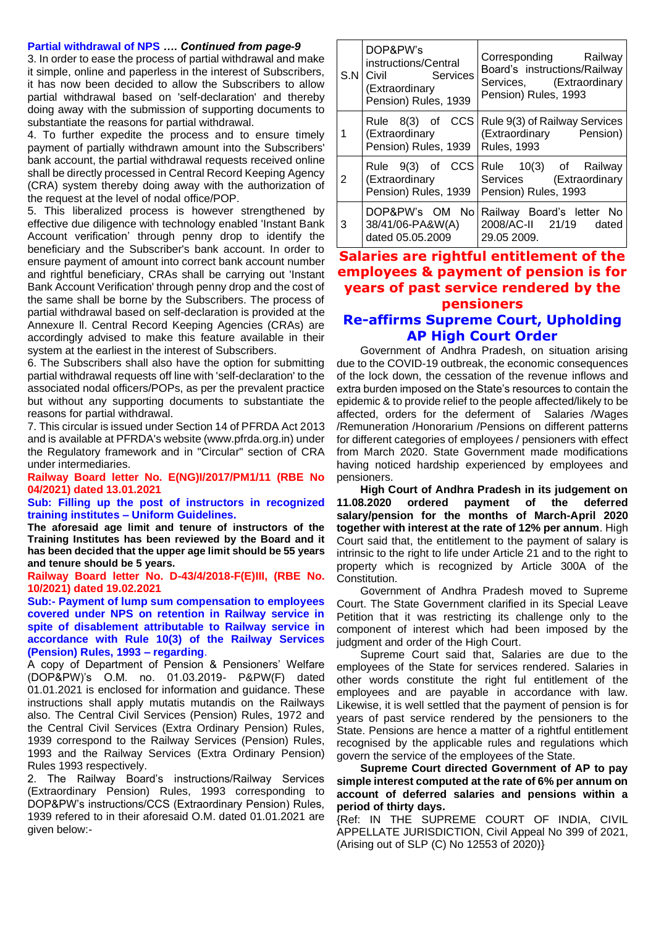#### **Partial withdrawal of NPS** *…. Continued from page-9*

3. In order to ease the process of partial withdrawal and make it simple, online and paperless in the interest of Subscribers, it has now been decided to allow the Subscribers to allow partial withdrawal based on 'self-declaration' and thereby doing away with the submission of supporting documents to substantiate the reasons for partial withdrawal.

4. To further expedite the process and to ensure timely payment of partially withdrawn amount into the Subscribers' bank account, the partial withdrawal requests received online shall be directly processed in Central Record Keeping Agency (CRA) system thereby doing away with the authorization of the request at the level of nodal office/POP.

5. This liberalized process is however strengthened by effective due diligence with technology enabled 'Instant Bank Account verification' through penny drop to identify the beneficiary and the Subscriber's bank account. In order to ensure payment of amount into correct bank account number and rightful beneficiary, CRAs shall be carrying out 'Instant Bank Account Verification' through penny drop and the cost of the same shall be borne by the Subscribers. The process of partial withdrawal based on self-declaration is provided at the Annexure ll. Central Record Keeping Agencies (CRAs) are accordingly advised to make this feature available in their system at the earliest in the interest of Subscribers.

6. The Subscribers shall also have the option for submitting partial withdrawal requests off line with 'self-declaration' to the associated nodal officers/POPs, as per the prevalent practice but without any supporting documents to substantiate the reasons for partial withdrawal.

7. This circular is issued under Section 14 of PFRDA Act 2013 and is available at PFRDA's website (www.pfrda.org.in) under the Regulatory framework and in "Circular" section of CRA under intermediaries.

#### **Railway Board letter No. E(NG)I/2017/PM1/11 (RBE No 04/2021) dated 13.01.2021**

#### **Sub: Filling up the post of instructors in recognized training institutes – Uniform Guidelines.**

**The aforesaid age limit and tenure of instructors of the Training Institutes has been reviewed by the Board and it has been decided that the upper age limit should be 55 years and tenure should be 5 years.** 

**Railway Board letter No. D-43/4/2018-F(E)III, (RBE No. 10/2021) dated 19.02.2021**

**Sub:- Payment of lump sum compensation to employees covered under NPS on retention in Railway service in spite of disablement attributable to Railway service in accordance with Rule 10(3) of the Railway Services (Pension) Rules, 1993 – regarding**.

A copy of Department of Pension & Pensioners' Welfare (DOP&PW)'s O.M. no. 01.03.2019- P&PW(F) dated 01.01.2021 is enclosed for information and guidance. These instructions shall apply mutatis mutandis on the Railways also. The Central Civil Services (Pension) Rules, 1972 and the Central Civil Services (Extra Ordinary Pension) Rules, 1939 correspond to the Railway Services (Pension) Rules, 1993 and the Railway Services (Extra Ordinary Pension) Rules 1993 respectively.

2. The Railway Board's instructions/Railway Services (Extraordinary Pension) Rules, 1993 corresponding to DOP&PW's instructions/CCS (Extraordinary Pension) Rules, 1939 refered to in their aforesaid O.M. dated 01.01.2021 are given below:-

|   | DOP&PW's<br>instructions/Central<br>S.N Civil Services<br>(Extraordinary<br>Pension) Rules, 1939 | Corresponding Railway<br>Board's instructions/Railway<br>Services, (Extraordinary<br>Pension) Rules, 1993 |
|---|--------------------------------------------------------------------------------------------------|-----------------------------------------------------------------------------------------------------------|
| 1 | (Extraordinary<br>Pension) Rules, 1939                                                           | Rule 8(3) of CCS   Rule 9(3) of Railway Services<br>(Extraordinary Pension)<br><b>Rules, 1993</b>         |
| 2 | (Extraordinary<br>Pension) Rules, 1939                                                           | Rule 9(3) of CCS Rule 10(3) of Railway<br>Services (Extraordinary<br>Pension) Rules, 1993                 |
| 3 | DOP&PW's OM No<br>38/41/06-PA&W(A)<br>dated 05.05.2009                                           | Railway Board's letter No<br>2008/AC-II  21/19  dated<br>29.05 2009.                                      |

# **Salaries are rightful entitlement of the employees & payment of pension is for years of past service rendered by the pensioners**

# **Re-affirms Supreme Court, Upholding AP High Court Order**

Government of Andhra Pradesh, on situation arising due to the COVID-19 outbreak, the economic consequences of the lock down, the cessation of the revenue inflows and extra burden imposed on the State's resources to contain the epidemic & to provide relief to the people affected/likely to be affected, orders for the deferment of Salaries /Wages /Remuneration /Honorarium /Pensions on different patterns for different categories of employees / pensioners with effect from March 2020. State Government made modifications having noticed hardship experienced by employees and pensioners.

**High Court of Andhra Pradesh in its judgement on 11.08.2020 ordered payment of the deferred salary/pension for the months of March-April 2020 together with interest at the rate of 12% per annum**. High Court said that, the entitlement to the payment of salary is intrinsic to the right to life under Article 21 and to the right to property which is recognized by Article 300A of the Constitution.

Government of Andhra Pradesh moved to Supreme Court. The State Government clarified in its Special Leave Petition that it was restricting its challenge only to the component of interest which had been imposed by the judgment and order of the High Court.

Supreme Court said that, Salaries are due to the employees of the State for services rendered. Salaries in other words constitute the right ful entitlement of the employees and are payable in accordance with law. Likewise, it is well settled that the payment of pension is for years of past service rendered by the pensioners to the State. Pensions are hence a matter of a rightful entitlement recognised by the applicable rules and regulations which govern the service of the employees of the State.

**Supreme Court directed Government of AP to pay simple interest computed at the rate of 6% per annum on account of deferred salaries and pensions within a period of thirty days.**

{Ref: IN THE SUPREME COURT OF INDIA, CIVIL APPELLATE JURISDICTION, Civil Appeal No 399 of 2021, (Arising out of SLP (C) No 12553 of 2020)}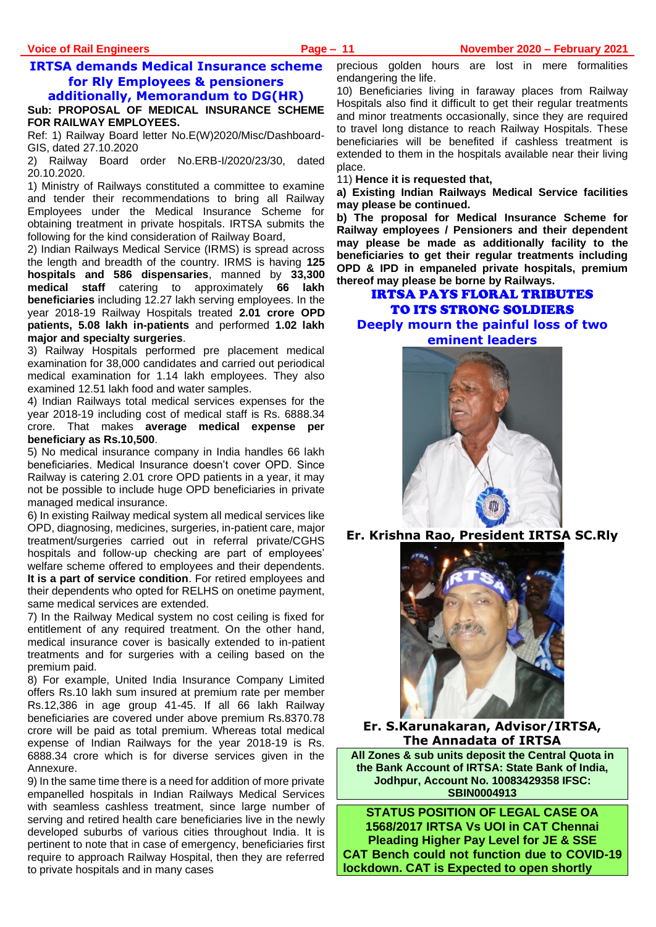# **IRTSA demands Medical Insurance scheme for Rly Employees & pensioners**

**additionally, Memorandum to DG(HR)**

**Sub: PROPOSAL OF MEDICAL INSURANCE SCHEME FOR RAILWAY EMPLOYEES.**

Ref: 1) Railway Board letter No.E(W)2020/Misc/Dashboard-GIS, dated 27.10.2020

2) Railway Board order No.ERB-I/2020/23/30, dated 20.10.2020.

1) Ministry of Railways constituted a committee to examine and tender their recommendations to bring all Railway Employees under the Medical Insurance Scheme for obtaining treatment in private hospitals. IRTSA submits the following for the kind consideration of Railway Board,

2) Indian Railways Medical Service (IRMS) is spread across the length and breadth of the country. IRMS is having **125 hospitals and 586 dispensaries**, manned by **33,300 medical staff** catering to approximately **66 lakh beneficiaries** including 12.27 lakh serving employees. In the year 2018-19 Railway Hospitals treated **2.01 crore OPD patients, 5.08 lakh in-patients** and performed **1.02 lakh major and specialty surgeries**.

3) Railway Hospitals performed pre placement medical examination for 38,000 candidates and carried out periodical medical examination for 1.14 lakh employees. They also examined 12.51 lakh food and water samples.

4) Indian Railways total medical services expenses for the year 2018-19 including cost of medical staff is Rs. 6888.34 crore. That makes **average medical expense per beneficiary as Rs.10,500**.

5) No medical insurance company in India handles 66 lakh beneficiaries. Medical Insurance doesn't cover OPD. Since Railway is catering 2.01 crore OPD patients in a year, it may not be possible to include huge OPD beneficiaries in private managed medical insurance.

6) In existing Railway medical system all medical services like OPD, diagnosing, medicines, surgeries, in-patient care, major treatment/surgeries carried out in referral private/CGHS hospitals and follow-up checking are part of employees' welfare scheme offered to employees and their dependents. **It is a part of service condition**. For retired employees and their dependents who opted for RELHS on onetime payment, same medical services are extended.

7) In the Railway Medical system no cost ceiling is fixed for entitlement of any required treatment. On the other hand, medical insurance cover is basically extended to in-patient treatments and for surgeries with a ceiling based on the premium paid.

8) For example, United India Insurance Company Limited offers Rs.10 lakh sum insured at premium rate per member Rs.12,386 in age group 41-45. If all 66 lakh Railway beneficiaries are covered under above premium Rs.8370.78 crore will be paid as total premium. Whereas total medical expense of Indian Railways for the year 2018-19 is Rs. 6888.34 crore which is for diverse services given in the Annexure.

9) In the same time there is a need for addition of more private empanelled hospitals in Indian Railways Medical Services with seamless cashless treatment, since large number of serving and retired health care beneficiaries live in the newly developed suburbs of various cities throughout India. It is pertinent to note that in case of emergency, beneficiaries first require to approach Railway Hospital, then they are referred to private hospitals and in many cases

precious golden hours are lost in mere formalities endangering the life.

10) Beneficiaries living in faraway places from Railway Hospitals also find it difficult to get their regular treatments and minor treatments occasionally, since they are required to travel long distance to reach Railway Hospitals. These beneficiaries will be benefited if cashless treatment is extended to them in the hospitals available near their living place.

11) **Hence it is requested that,** 

**a) Existing Indian Railways Medical Service facilities may please be continued.** 

**b) The proposal for Medical Insurance Scheme for Railway employees / Pensioners and their dependent may please be made as additionally facility to the beneficiaries to get their regular treatments including OPD & IPD in empaneled private hospitals, premium thereof may please be borne by Railways.**

IRTSA PAYS FLORAL TRIBUTES TO ITS STRONG SOLDIERS **Deeply mourn the painful loss of two eminent leaders** 



**Er. Krishna Rao, President IRTSA SC.Rly**



**Er. S.Karunakaran, Advisor/IRTSA, The Annadata of IRTSA**

**All Zones & sub units deposit the Central Quota in the Bank Account of IRTSA: State Bank of India, Jodhpur, Account No. 10083429358 IFSC: SBIN0004913**

**STATUS POSITION OF LEGAL CASE OA 1568/2017 IRTSA Vs UOI in CAT Chennai Pleading Higher Pay Level for JE & SSE CAT Bench could not function due to COVID-19 lockdown. CAT is Expected to open shortly**